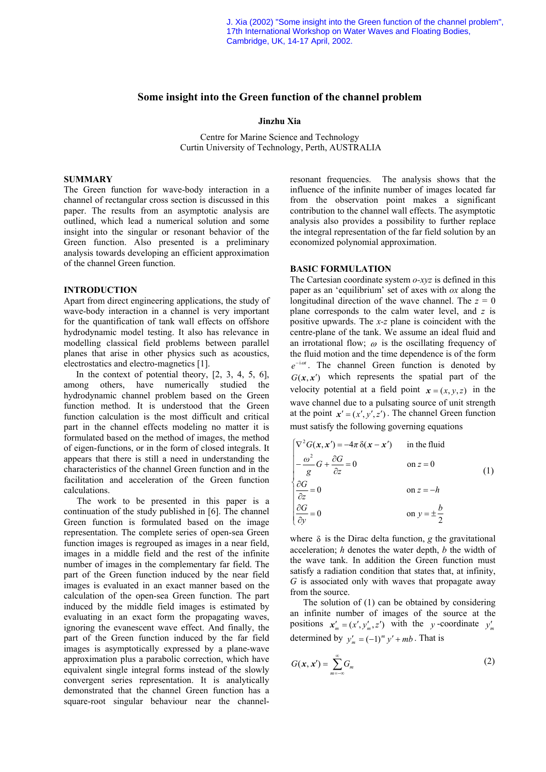J. Xia (2002) "Some insight into the Green function of the channel problem", 17th International Workshop on Water Waves and Floating Bodies, Cambridge, UK, 14-17 April, 2002.

#### **Some insight into the Green function of the channel problem**

## **Jinzhu Xia**

Centre for Marine Science and Technology Curtin University of Technology, Perth, AUSTRALIA

# **SUMMARY**

The Green function for wave-body interaction in a channel of rectangular cross section is discussed in this paper. The results from an asymptotic analysis are outlined, which lead a numerical solution and some insight into the singular or resonant behavior of the Green function. Also presented is a preliminary analysis towards developing an efficient approximation of the channel Green function.

#### **INTRODUCTION**

Apart from direct engineering applications, the study of wave-body interaction in a channel is very important for the quantification of tank wall effects on offshore hydrodynamic model testing. It also has relevance in modelling classical field problems between parallel planes that arise in other physics such as acoustics, electrostatics and electro-magnetics [1].

In the context of potential theory, [2, 3, 4, 5, 6], among others, have numerically studied the hydrodynamic channel problem based on the Green function method. It is understood that the Green function calculation is the most difficult and critical part in the channel effects modeling no matter it is formulated based on the method of images, the method of eigen-functions, or in the form of closed integrals. It appears that there is still a need in understanding the characteristics of the channel Green function and in the facilitation and acceleration of the Green function calculations.

The work to be presented in this paper is a continuation of the study published in [6]. The channel Green function is formulated based on the image representation. The complete series of open-sea Green function images is regrouped as images in a near field, images in a middle field and the rest of the infinite number of images in the complementary far field. The part of the Green function induced by the near field images is evaluated in an exact manner based on the calculation of the open-sea Green function. The part induced by the middle field images is estimated by evaluating in an exact form the propagating waves, ignoring the evanescent wave effect. And finally, the part of the Green function induced by the far field images is asymptotically expressed by a plane-wave approximation plus a parabolic correction, which have equivalent single integral forms instead of the slowly convergent series representation. It is analytically demonstrated that the channel Green function has a square-root singular behaviour near the channelresonant frequencies. The analysis shows that the influence of the infinite number of images located far from the observation point makes a significant contribution to the channel wall effects. The asymptotic analysis also provides a possibility to further replace the integral representation of the far field solution by an economized polynomial approximation.

## **BASIC FORMULATION**

The Cartesian coordinate system *o-xyz* is defined in this paper as an 'equilibrium' set of axes with *ox* along the longitudinal direction of the wave channel. The  $z = 0$ plane corresponds to the calm water level, and *z* is positive upwards. The *x-z* plane is coincident with the centre-plane of the tank. We assume an ideal fluid and an irrotational flow;  $\omega$  is the oscillating frequency of the fluid motion and the time dependence is of the form  $e^{-i\omega t}$ . The channel Green function is denoted by  $G(x, x')$  which represents the spatial part of the velocity potential at a field point  $x = (x, y, z)$  in the wave channel due to a pulsating source of unit strength at the point  $x' = (x', y', z')$ . The channel Green function must satisfy the following governing equations

$$
\begin{cases}\n\nabla^2 G(\mathbf{x}, \mathbf{x}') = -4\pi \delta(\mathbf{x} - \mathbf{x}') & \text{in the fluid} \\
-\frac{\omega^2}{g} G + \frac{\partial G}{\partial z} = 0 & \text{on } z = 0 \\
\frac{\partial G}{\partial z} = 0 & \text{on } z = -h \\
\frac{\partial G}{\partial y} = 0 & \text{on } y = \pm \frac{b}{2}\n\end{cases}
$$
\n(1)

where  $\delta$  is the Dirac delta function, *g* the gravitational acceleration; *h* denotes the water depth, *b* the width of the wave tank. In addition the Green function must satisfy a radiation condition that states that, at infinity, *G* is associated only with waves that propagate away from the source.

The solution of (1) can be obtained by considering an infinite number of images of the source at the positions  $x'_m = (x', y'_m, z')$  with the *y*-coordinate  $y'_m$ determined by  $y'_m = (-1)^m y' + mb$ . That is

$$
G(\mathbf{x}, \mathbf{x}') = \sum_{m=-\infty}^{\infty} G_m \tag{2}
$$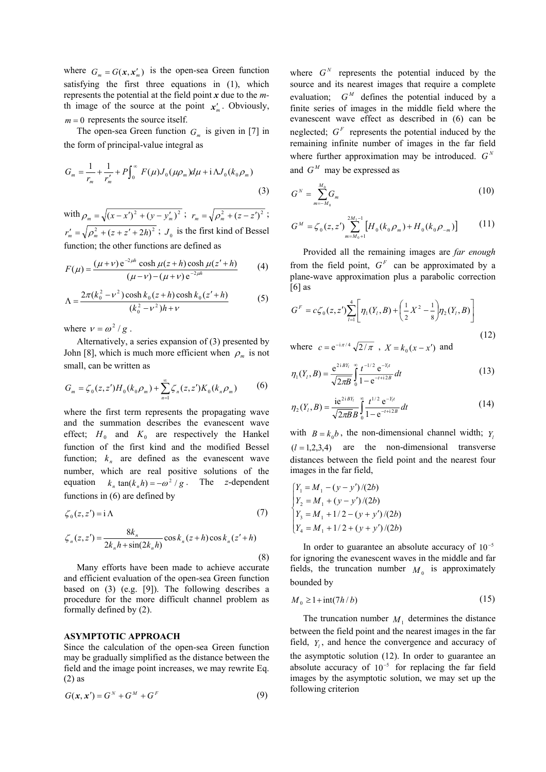where  $G_m = G(x, x'_m)$  is the open-sea Green function satisfying the first three equations in (1), which represents the potential at the field point *x* due to the *m*th image of the source at the point  $x'_m$ . Obviously,  $m = 0$  represents the source itself.

The open-sea Green function  $G_m$  is given in [7] in the form of principal-value integral as

$$
G_m = \frac{1}{r_m} + \frac{1}{r'_m} + P \int_0^\infty F(\mu) J_0(\mu \rho_m) d\mu + i \Lambda J_0(k_0 \rho_m)
$$
\n(3)

with  $\rho_m = \sqrt{(x-x')^2 + (y-y'_m)^2}$ ;  $r_m = \sqrt{\rho_m^2 + (z-z')^2}$ ;  $r'_m = \sqrt{\rho_m^2 + (z + z' + 2h)^2}$ ;  $J_0$  is the first kind of Bessel  $G^M = \zeta_0(z, z') \sum_{m=M_0+1} \left[ H_0(k_0 \rho_m) + H_0(k_0 \rho_{-m}) \right]$ function; the other functions are defined as

$$
F(\mu) = \frac{(\mu + \nu) e^{-2\mu h} \cosh \mu (z + h) \cosh \mu (z' + h)}{(\mu - \nu) - (\mu + \nu) e^{-2\mu h}}
$$
(4)

$$
\Lambda = \frac{2\pi (k_0^2 - v^2) \cosh k_0 (z + h) \cosh k_0 (z' + h)}{(k_0^2 - v^2)h + v}
$$
(5)

where  $v = \omega^2 / g$ .

Alternatively, a series expansion of  $(3)$  presented by John [8], which is much more efficient when  $\rho_m$  is not small, can be written as

$$
G_m = \zeta_0(z, z')H_0(k_0\rho_m) + \sum_{n=1}^{\infty} \zeta_n(z, z')K_0(k_n\rho_m)
$$
 (6)

where the first term represents the propagating wave and the summation describes the evanescent wave effect;  $H_0$  and  $K_0$  are respectively the Hankel function of the first kind and the modified Bessel function;  $k_n$  are defined as the evanescent wave number, which are real positive solutions of the equation  $k_n \tan(k_n h) = -\omega^2 / g$ . The *z*-dependent functions in (6) are defined by

$$
\zeta_0(z, z') = i \Lambda \tag{7}
$$

$$
\zeta_n(z, z') = \frac{8k_n}{2k_n h + \sin(2k_n h)} \cos k_n(z+h) \cos k_n(z'+h)
$$
\n(8)

Many efforts have been made to achieve accurate and efficient evaluation of the open-sea Green function based on (3) (e.g. [9]). The following describes a procedure for the more difficult channel problem as formally defined by (2).

### **ASYMPTOTIC APPROACH**

Since the calculation of the open-sea Green function may be gradually simplified as the distance between the field and the image point increases, we may rewrite Eq. (2) as

$$
G(\mathbf{x}, \mathbf{x}') = G^N + G^M + G^F \tag{9}
$$

where  $G^N$  represents the potential induced by the source and its nearest images that require a complete evaluation;  $G^M$  defines the potential induced by a finite series of images in the middle field where the evanescent wave effect as described in (6) can be neglected;  $G<sup>F</sup>$  represents the potential induced by the remaining infinite number of images in the far field where further approximation may be introduced.  $G<sup>N</sup>$ and  $G^M$  may be expressed as

(3) 
$$
G^N = \sum_{m=-M_0}^{M_0} G_m \tag{10}
$$

$$
G^{M} = \zeta_{0}(z, z') \sum_{m=M_{0}+1}^{2M_{1}-1} \left[ H_{0}(k_{0}\rho_{m}) + H_{0}(k_{0}\rho_{-m}) \right]
$$
 (11)

Provided all the remaining images are *far enough* from the field point,  $G<sup>F</sup>$  can be approximated by a plane-wave approximation plus a parabolic correction  $[6]$  as

$$
G^{F} = c\zeta_{0}(z, z')\sum_{l=1}^{4} \left[\eta_{1}(Y_{l}, B) + \left(\frac{1}{2}X^{2} - \frac{1}{8}\right)\eta_{2}(Y_{l}, B)\right]
$$
\n(12)

where  $c = e^{-i\pi/4} \sqrt{2/\pi}$ ,  $X = k_0 (x - x')$  and

$$
\eta_1(Y_i, B) = \frac{e^{2iBY_i}}{\sqrt{2\pi B}} \int_0^\infty \frac{t^{-1/2} e^{-Y_i t}}{1 - e^{-t + i2B}} dt
$$
\n(13)

$$
\eta_2(Y_i, B) = \frac{e^{2iBY_i}}{\sqrt{2\pi B B}} \int_0^\infty \frac{t^{1/2} e^{-Y_i t}}{1 - e^{-t + i2B}} dt
$$
\n(14)

with  $B = k_0 b$ , the non-dimensional channel width;  $Y_i$  $(l = 1,2,3,4)$  are the non-dimensional transverse distances between the field point and the nearest four images in the far field,

$$
\begin{cases}\nY_1 = M_1 - (y - y')/(2b) \\
Y_2 = M_1 + (y - y')/(2b) \\
Y_3 = M_1 + 1/2 - (y + y')/(2b) \\
Y_4 = M_1 + 1/2 + (y + y')/(2b)\n\end{cases}
$$

In order to guarantee an absolute accuracy of  $10^{-5}$ for ignoring the evanescent waves in the middle and far fields, the truncation number  $M_0$  is approximately bounded by

$$
M_0 \ge 1 + \operatorname{int}(7h/b) \tag{15}
$$

The truncation number  $M_1$  determines the distance between the field point and the nearest images in the far field,  $Y_l$ , and hence the convergence and accuracy of the asymptotic solution (12). In order to guarantee an absolute accuracy of  $10^{-5}$  for replacing the far field images by the asymptotic solution, we may set up the following criterion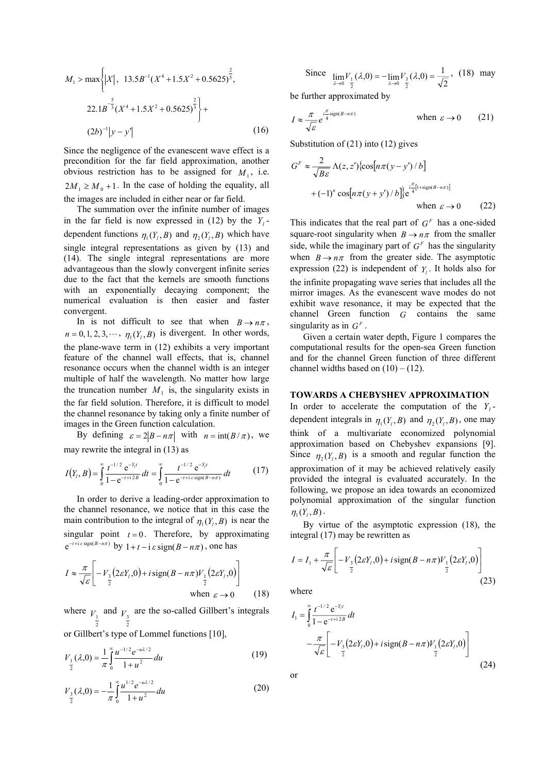$$
M_1 > \max \left\{ |X|, 13.5B^{-1}(X^4 + 1.5X^2 + 0.5625)^{\frac{2}{5}}, 13.5B^{-1}(X^4 + 1.5X^2 + 0.5625)^{\frac{2}{3}} \right\} +
$$
  
(2b)<sup>-1</sup>|y - y'| (16)

Since the negligence of the evanescent wave effect is a precondition for the far field approximation, another obvious restriction has to be assigned for  $M_1$ , i.e.  $2M_1 \geq M_0 + 1$ . In the case of holding the equality, all the images are included in either near or far field.

The summation over the infinite number of images in the far field is now expressed in (12) by the  $Y_i$ dependent functions  $\eta_1(Y_i, B)$  and  $\eta_2(Y_i, B)$  which have single integral representations as given by (13) and (14). The single integral representations are more advantageous than the slowly convergent infinite series due to the fact that the kernels are smooth functions with an exponentially decaying component; the numerical evaluation is then easier and faster convergent.

In is not difficult to see that when  $B \to n\pi$ ,  $n = 0, 1, 2, 3, \dots, \eta_1(Y_i, B)$  is divergent. In other words, the plane-wave term in (12) exhibits a very important feature of the channel wall effects, that is, channel resonance occurs when the channel width is an integer multiple of half the wavelength. No matter how large the truncation number  $M_1$  is, the singularity exists in the far field solution. Therefore, it is difficult to model the channel resonance by taking only a finite number of images in the Green function calculation.

By defining  $\varepsilon = 2|B - n\pi|$  with  $n = \text{int}(B/\pi)$ , we may rewrite the integral in (13) as

$$
I(Y_t, B) = \int_0^\infty \frac{t^{-1/2} e^{-Y_t t}}{1 - e^{-t + i 2B}} dt = \int_0^\infty \frac{t^{-1/2} e^{-Y_t t}}{1 - e^{-t + i \varepsilon \operatorname{sign}(B - n\pi)}} dt \tag{17}
$$

In order to derive a leading-order approximation to the channel resonance, we notice that in this case the main contribution to the integral of  $\eta_1(Y_i, B)$  is near the singular point  $t = 0$ . Therefore, by approximating  $e^{-t+i\epsilon \operatorname{sign}(B-n\pi)}$  by  $1+t-i\epsilon \operatorname{sign}(B-n\pi)$ , one has

$$
I \approx \frac{\pi}{\sqrt{\varepsilon}} \left[ -V_{\frac{3}{2}} (2\varepsilon Y_t, 0) + i \operatorname{sign}(B - n\pi) V_{\frac{1}{2}} (2\varepsilon Y_t, 0) \right]
$$
  
when  $\varepsilon \to 0$  (18)

where 2  $V_1$  and 2  $V<sub>3</sub>$  are the so-called Gillbert's integrals or Gillbert's type of Lommel functions [10],

$$
V_{\frac{1}{2}}(\lambda,0) = \frac{1}{\pi} \int_{0}^{\infty} \frac{u^{-1/2} e^{-u\lambda/2}}{1+u^2} du
$$
 (19)

$$
V_{\frac{3}{2}}(\lambda,0) = -\frac{1}{\pi} \int_{0}^{\infty} \frac{u^{1/2} e^{-u\lambda/2}}{1+u^2} du
$$
 (20)

Since 
$$
\lim_{\lambda \to 0} V_1(\lambda, 0) = -\lim_{\lambda \to 0} V_3(\lambda, 0) = \frac{1}{\sqrt{2}}
$$
, (18) may

be further approximated by

$$
I \approx \frac{\pi}{\sqrt{\varepsilon}} e^{i\frac{\pi}{4}\text{sign}(B-n\pi)} \quad \text{when } \varepsilon \to 0 \quad (21)
$$

Substitution of (21) into (12) gives

$$
G^{F} \approx \frac{2}{\sqrt{B\varepsilon}} \Lambda(z, z') \{ \cos[n\pi(y - y') / b] + (-1)^{n} \cos[n\pi(y + y') / b] \} e^{\frac{i\pi}{4} [1 + \text{sign}(B - n\pi)]}
$$
  
when  $\varepsilon \to 0$  (22)

This indicates that the real part of  $G<sup>F</sup>$  has a one-sided square-root singularity when  $B \to n\pi$  from the smaller side, while the imaginary part of  $G<sup>F</sup>$  has the singularity when  $B \to n\pi$  from the greater side. The asymptotic expression (22) is independent of  $Y_i$ . It holds also for the infinite propagating wave series that includes all the mirror images. As the evanescent wave modes do not exhibit wave resonance, it may be expected that the channel Green function *G* contains the same singularity as in  $G<sup>F</sup>$ .

Given a certain water depth, Figure 1 compares the computational results for the open-sea Green function and for the channel Green function of three different channel widths based on  $(10) - (12)$ .

#### **TOWARDS A CHEBYSHEV APPROXIMATION**

In order to accelerate the computation of the  $Y_i$ dependent integrals in  $\eta_1(Y_l, B)$  and  $\eta_2(Y_l, B)$ , one may think of a multivariate economized polynomial approximation based on Chebyshev expansions [9]. Since  $\eta_2(Y_i, B)$  is a smooth and regular function the approximation of it may be achieved relatively easily provided the integral is evaluated accurately. In the following, we propose an idea towards an economized polynomial approximation of the singular function  $\eta_1(Y_1, B)$ .

By virtue of the asymptotic expression (18), the integral (17) may be rewritten as

$$
I = I_1 + \frac{\pi}{\sqrt{\varepsilon}} \left[ -V_{\frac{3}{2}} (2\varepsilon Y_t, 0) + i \operatorname{sign}(B - n\pi) V_{\frac{1}{2}} (2\varepsilon Y_t, 0) \right]
$$
(23)

where

$$
I_{1} = \int_{0}^{\infty} \frac{t^{-1/2} e^{-Y_{i}t}}{1 - e^{-t + i2B}} dt
$$
  
 
$$
- \frac{\pi}{\sqrt{\varepsilon}} \left[ -V_{3} \left( 2\varepsilon Y_{i}, 0 \right) + i \operatorname{sign}(B - n\pi) V_{1} \left( 2\varepsilon Y_{i}, 0 \right) \right]
$$
  
(24)

or